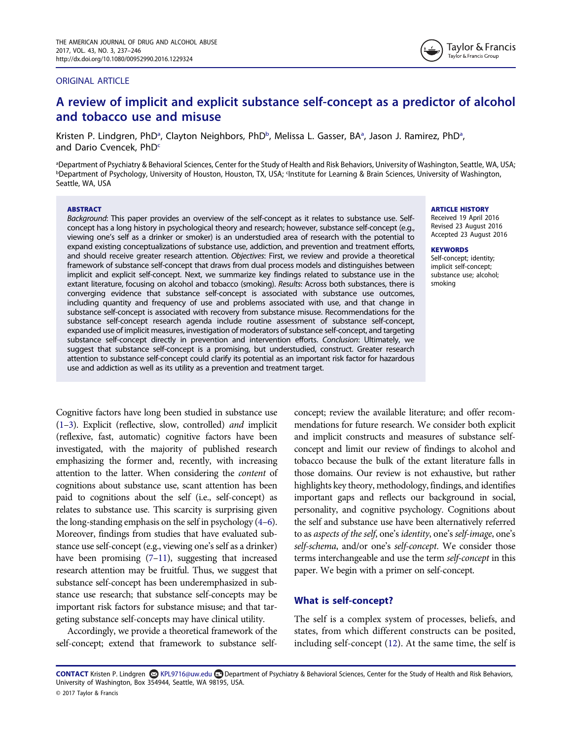#### ORIGINAL ARTICLE



# A review of implicit and explicit substance self-concept as a predictor of alcohol and tobacco use and misuse

Kristen P. Lindgren, PhD<sup>[a](#page-0-0)</sup>, Clayton Neighbors, PhD<sup>b</sup>, Melissa L. Gasser, BA<sup>a</sup>, Jason J. Ramirez, PhD<sup>a</sup>, and Dario Cven[c](#page-0-1)ek, PhD<sup>c</sup>

<span id="page-0-1"></span><span id="page-0-0"></span>a Department of Psychiatry & Behavioral Sciences, Center for the Study of Health and Risk Behaviors, University of Washington, Seattle, WA, USA; **bDepartment of Psychology, University of Houston, Houston, TX, USA**; <sup>c</sup>Institute for Learning & Brain Sciences, University of Washington, Seattle, WA, USA

#### ABSTRACT

Background: This paper provides an overview of the self-concept as it relates to substance use. Selfconcept has a long history in psychological theory and research; however, substance self-concept (e.g., viewing one's self as a drinker or smoker) is an understudied area of research with the potential to expand existing conceptualizations of substance use, addiction, and prevention and treatment efforts, and should receive greater research attention. Objectives: First, we review and provide a theoretical framework of substance self-concept that draws from dual process models and distinguishes between implicit and explicit self-concept. Next, we summarize key findings related to substance use in the extant literature, focusing on alcohol and tobacco (smoking). Results: Across both substances, there is converging evidence that substance self-concept is associated with substance use outcomes, including quantity and frequency of use and problems associated with use, and that change in substance self-concept is associated with recovery from substance misuse. Recommendations for the substance self-concept research agenda include routine assessment of substance self-concept, expanded use of implicit measures, investigation of moderators of substance self-concept, and targeting substance self-concept directly in prevention and intervention efforts. Conclusion: Ultimately, we suggest that substance self-concept is a promising, but understudied, construct. Greater research attention to substance self-concept could clarify its potential as an important risk factor for hazardous use and addiction as well as its utility as a prevention and treatment target.

Cognitive factors have long been studied in substance use [\(1](#page-7-0)–[3](#page-7-1)). Explicit (reflective, slow, controlled) and implicit (reflexive, fast, automatic) cognitive factors have been investigated, with the majority of published research emphasizing the former and, recently, with increasing attention to the latter. When considering the content of cognitions about substance use, scant attention has been paid to cognitions about the self (i.e., self-concept) as relates to substance use. This scarcity is surprising given the long-standing emphasis on the self in psychology [\(4](#page-7-2)–[6](#page-7-3)). Moreover, findings from studies that have evaluated substance use self-concept (e.g., viewing one's self as a drinker) have been promising [\(7](#page-7-4)–[11\)](#page-8-0), suggesting that increased research attention may be fruitful. Thus, we suggest that substance self-concept has been underemphasized in substance use research; that substance self-concepts may be important risk factors for substance misuse; and that targeting substance self-concepts may have clinical utility.

Accordingly, we provide a theoretical framework of the self-concept; extend that framework to substance selfconcept; review the available literature; and offer recommendations for future research. We consider both explicit and implicit constructs and measures of substance selfconcept and limit our review of findings to alcohol and tobacco because the bulk of the extant literature falls in those domains. Our review is not exhaustive, but rather highlights key theory, methodology, findings, and identifies important gaps and reflects our background in social, personality, and cognitive psychology. Cognitions about the self and substance use have been alternatively referred to as aspects of the self, one's identity, one's self-image, one's self-schema, and/or one's self-concept. We consider those terms interchangeable and use the term self-concept in this paper. We begin with a primer on self-concept.

## What is self-concept?

The self is a complex system of processes, beliefs, and states, from which different constructs can be posited, including self-concept [\(12\)](#page-8-1). At the same time, the self is

CONTACT Kristen P. Lindgren **۞** KPL9716@uw.edu **■** Department of Psychiatry & Behavioral Sciences, Center for the Study of Health and Risk Behaviors, University of Washington, Box 354944, Seattle, WA 98195, USA. © 2017 Taylor & Francis

#### ARTICLE HISTORY

Received 19 April 2016 Revised 23 August 2016 Accepted 23 August 2016

#### **KEYWORDS**

Self-concept; identity; implicit self-concept; substance use; alcohol; smoking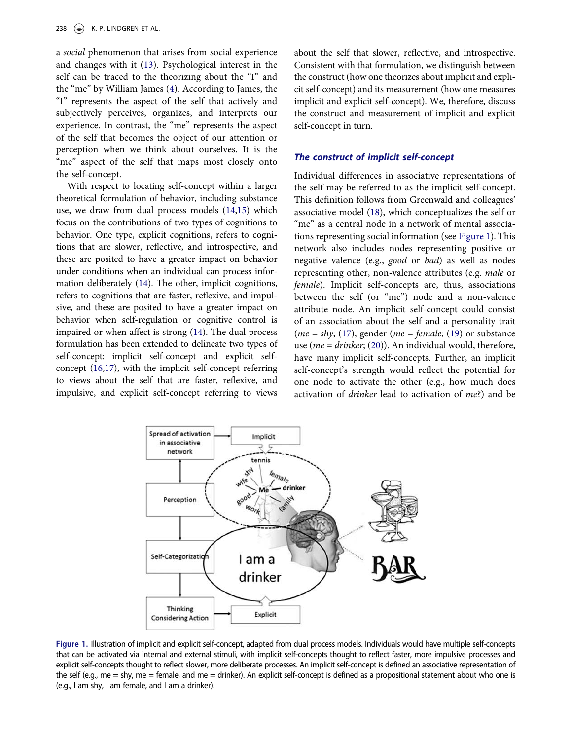a social phenomenon that arises from social experience and changes with it ([13](#page-8-2)). Psychological interest in the self can be traced to the theorizing about the "I" and the "me" by William James [\(4](#page-7-2)). According to James, the "I" represents the aspect of the self that actively and subjectively perceives, organizes, and interprets our experience. In contrast, the "me" represents the aspect of the self that becomes the object of our attention or perception when we think about ourselves. It is the "me" aspect of the self that maps most closely onto the self-concept.

With respect to locating self-concept within a larger theoretical formulation of behavior, including substance use, we draw from dual process models ([14,](#page-8-3)[15\)](#page-8-4) which focus on the contributions of two types of cognitions to behavior. One type, explicit cognitions, refers to cognitions that are slower, reflective, and introspective, and these are posited to have a greater impact on behavior under conditions when an individual can process information deliberately [\(14](#page-8-3)). The other, implicit cognitions, refers to cognitions that are faster, reflexive, and impulsive, and these are posited to have a greater impact on behavior when self-regulation or cognitive control is impaired or when affect is strong ([14\)](#page-8-3). The dual process formulation has been extended to delineate two types of self-concept: implicit self-concept and explicit selfconcept ([16,](#page-8-5)[17\)](#page-8-6), with the implicit self-concept referring to views about the self that are faster, reflexive, and impulsive, and explicit self-concept referring to views

about the self that slower, reflective, and introspective. Consistent with that formulation, we distinguish between the construct (how one theorizes about implicit and explicit self-concept) and its measurement (how one measures implicit and explicit self-concept). We, therefore, discuss the construct and measurement of implicit and explicit self-concept in turn.

#### The construct of implicit self-concept

Individual differences in associative representations of the self may be referred to as the implicit self-concept. This definition follows from Greenwald and colleagues' associative model [\(18](#page-8-7)), which conceptualizes the self or "me" as a central node in a network of mental associations representing social information (see [Figure 1](#page-1-0)). This network also includes nodes representing positive or negative valence (e.g., good or bad) as well as nodes representing other, non-valence attributes (e.g. male or female). Implicit self-concepts are, thus, associations between the self (or "me") node and a non-valence attribute node. An implicit self-concept could consist of an association about the self and a personality trait ( $me = shy$ ; ([17](#page-8-6)), gender ( $me = female$ ; ([19\)](#page-8-8) or substance use ( $me = drinker$ ; [\(20](#page-8-9))). An individual would, therefore, have many implicit self-concepts. Further, an implicit self-concept's strength would reflect the potential for one node to activate the other (e.g., how much does activation of drinker lead to activation of me?) and be



<span id="page-1-0"></span>Figure 1. Illustration of implicit and explicit self-concept, adapted from dual process models. Individuals would have multiple self-concepts that can be activated via internal and external stimuli, with implicit self-concepts thought to reflect faster, more impulsive processes and explicit self-concepts thought to reflect slower, more deliberate processes. An implicit self-concept is defined an associative representation of the self (e.g., me = shy, me = female, and me = drinker). An explicit self-concept is defined as a propositional statement about who one is (e.g., I am shy, I am female, and I am a drinker).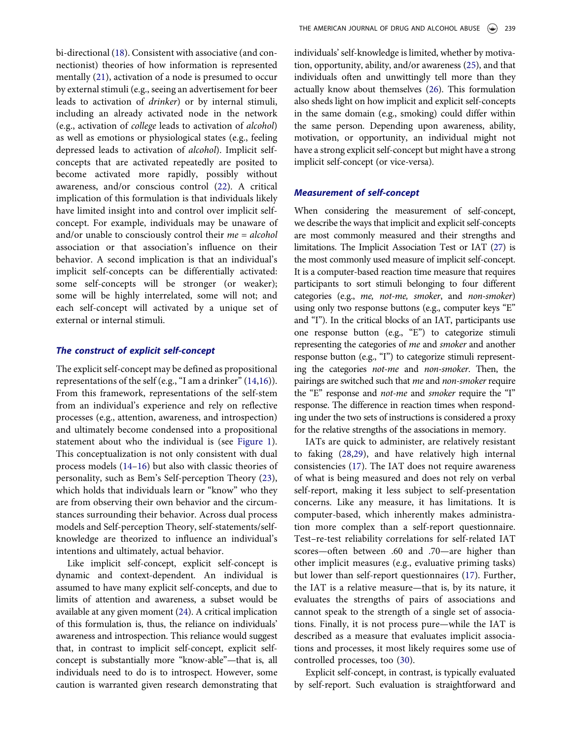bi-directional [\(18](#page-8-7)). Consistent with associative (and connectionist) theories of how information is represented mentally [\(21](#page-8-10)), activation of a node is presumed to occur by external stimuli (e.g., seeing an advertisement for beer leads to activation of drinker) or by internal stimuli, including an already activated node in the network (e.g., activation of college leads to activation of alcohol) as well as emotions or physiological states (e.g., feeling depressed leads to activation of alcohol). Implicit selfconcepts that are activated repeatedly are posited to become activated more rapidly, possibly without awareness, and/or conscious control ([22](#page-8-11)). A critical implication of this formulation is that individuals likely have limited insight into and control over implicit selfconcept. For example, individuals may be unaware of and/or unable to consciously control their  $me = alcohol$ association or that association's influence on their behavior. A second implication is that an individual's implicit self-concepts can be differentially activated: some self-concepts will be stronger (or weaker); some will be highly interrelated, some will not; and each self-concept will activated by a unique set of external or internal stimuli.

## The construct of explicit self-concept

The explicit self-concept may be defined as propositional representations of the self (e.g., "I am a drinker" ([14](#page-8-3)[,16](#page-8-5))). From this framework, representations of the self-stem from an individual's experience and rely on reflective processes (e.g., attention, awareness, and introspection) and ultimately become condensed into a propositional statement about who the individual is (see [Figure 1\)](#page-1-0). This conceptualization is not only consistent with dual process models [\(14](#page-8-3)–[16](#page-8-5)) but also with classic theories of personality, such as Bem's Self-perception Theory ([23\)](#page-8-12), which holds that individuals learn or "know" who they are from observing their own behavior and the circumstances surrounding their behavior. Across dual process models and Self-perception Theory, self-statements/selfknowledge are theorized to influence an individual's intentions and ultimately, actual behavior.

Like implicit self-concept, explicit self-concept is dynamic and context-dependent. An individual is assumed to have many explicit self-concepts, and due to limits of attention and awareness, a subset would be available at any given moment [\(24](#page-8-13)). A critical implication of this formulation is, thus, the reliance on individuals' awareness and introspection. This reliance would suggest that, in contrast to implicit self-concept, explicit selfconcept is substantially more "know-able"—that is, all individuals need to do is to introspect. However, some caution is warranted given research demonstrating that individuals' self-knowledge is limited, whether by motivation, opportunity, ability, and/or awareness [\(25](#page-8-14)), and that individuals often and unwittingly tell more than they actually know about themselves [\(26](#page-8-15)). This formulation also sheds light on how implicit and explicit self-concepts in the same domain (e.g., smoking) could differ within the same person. Depending upon awareness, ability, motivation, or opportunity, an individual might not have a strong explicit self-concept but might have a strong implicit self-concept (or vice-versa).

#### Measurement of self-concept

When considering the measurement of self-concept, we describe the ways that implicit and explicit self-concepts are most commonly measured and their strengths and limitations. The Implicit Association Test or IAT ([27](#page-8-16)) is the most commonly used measure of implicit self-concept. It is a computer-based reaction time measure that requires participants to sort stimuli belonging to four different categories (e.g., me, not-me, smoker, and non-smoker) using only two response buttons (e.g., computer keys "E" and "I"). In the critical blocks of an IAT, participants use one response button (e.g., "E") to categorize stimuli representing the categories of me and smoker and another response button (e.g., "I") to categorize stimuli representing the categories not-me and non-smoker. Then, the pairings are switched such that me and non-smoker require the "E" response and not-me and smoker require the "I" response. The difference in reaction times when responding under the two sets of instructions is considered a proxy for the relative strengths of the associations in memory.

IATs are quick to administer, are relatively resistant to faking [\(28](#page-8-17),[29\)](#page-8-18), and have relatively high internal consistencies ([17\)](#page-8-6). The IAT does not require awareness of what is being measured and does not rely on verbal self-report, making it less subject to self-presentation concerns. Like any measure, it has limitations. It is computer-based, which inherently makes administration more complex than a self-report questionnaire. Test–re-test reliability correlations for self-related IAT scores—often between .60 and .70—are higher than other implicit measures (e.g., evaluative priming tasks) but lower than self-report questionnaires [\(17](#page-8-6)). Further, the IAT is a relative measure—that is, by its nature, it evaluates the strengths of pairs of associations and cannot speak to the strength of a single set of associations. Finally, it is not process pure—while the IAT is described as a measure that evaluates implicit associations and processes, it most likely requires some use of controlled processes, too [\(30](#page-8-19)).

Explicit self-concept, in contrast, is typically evaluated by self-report. Such evaluation is straightforward and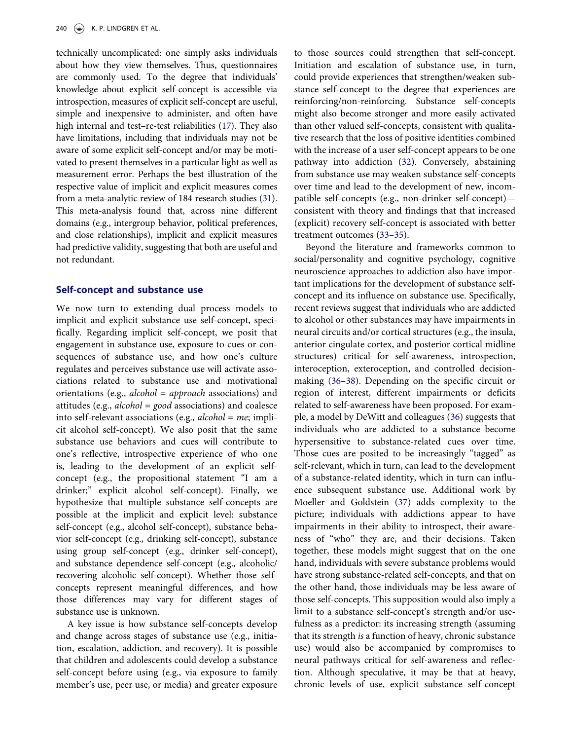technically uncomplicated: one simply asks individuals about how they view themselves. Thus, questionnaires are commonly used. To the degree that individuals' knowledge about explicit self-concept is accessible via introspection, measures of explicit self-concept are useful, simple and inexpensive to administer, and often have high internal and test–re-test reliabilities [\(17](#page-8-6)). They also have limitations, including that individuals may not be aware of some explicit self-concept and/or may be motivated to present themselves in a particular light as well as measurement error. Perhaps the best illustration of the respective value of implicit and explicit measures comes from a meta-analytic review of 184 research studies [\(31](#page-8-20)). This meta-analysis found that, across nine different domains (e.g., intergroup behavior, political preferences, and close relationships), implicit and explicit measures had predictive validity, suggesting that both are useful and not redundant.

## Self-concept and substance use

We now turn to extending dual process models to implicit and explicit substance use self-concept, specifically. Regarding implicit self-concept, we posit that engagement in substance use, exposure to cues or consequences of substance use, and how one's culture regulates and perceives substance use will activate associations related to substance use and motivational orientations (e.g.,  $alcohol = approach$  associations) and attitudes (e.g., alcohol = good associations) and coalesce into self-relevant associations (e.g.,  $alcohol = me$ ; implicit alcohol self-concept). We also posit that the same substance use behaviors and cues will contribute to one's reflective, introspective experience of who one is, leading to the development of an explicit selfconcept (e.g., the propositional statement "I am a drinker;" explicit alcohol self-concept). Finally, we hypothesize that multiple substance self-concepts are possible at the implicit and explicit level: substance self-concept (e.g., alcohol self-concept), substance behavior self-concept (e.g., drinking self-concept), substance using group self-concept (e.g., drinker self-concept), and substance dependence self-concept (e.g., alcoholic/ recovering alcoholic self-concept). Whether those selfconcepts represent meaningful differences, and how those differences may vary for different stages of substance use is unknown.

A key issue is how substance self-concepts develop and change across stages of substance use (e.g., initiation, escalation, addiction, and recovery). It is possible that children and adolescents could develop a substance self-concept before using (e.g., via exposure to family member's use, peer use, or media) and greater exposure

to those sources could strengthen that self-concept. Initiation and escalation of substance use, in turn, could provide experiences that strengthen/weaken substance self-concept to the degree that experiences are reinforcing/non-reinforcing. Substance self-concepts might also become stronger and more easily activated than other valued self-concepts, consistent with qualitative research that the loss of positive identities combined with the increase of a user self-concept appears to be one pathway into addiction [\(32](#page-8-21)). Conversely, abstaining from substance use may weaken substance self-concepts over time and lead to the development of new, incompatible self-concepts (e.g., non-drinker self-concept) consistent with theory and findings that that increased (explicit) recovery self-concept is associated with better treatment outcomes ([33](#page-8-22)–[35](#page-8-23)).

Beyond the literature and frameworks common to social/personality and cognitive psychology, cognitive neuroscience approaches to addiction also have important implications for the development of substance selfconcept and its influence on substance use. Specifically, recent reviews suggest that individuals who are addicted to alcohol or other substances may have impairments in neural circuits and/or cortical structures (e.g., the insula, anterior cingulate cortex, and posterior cortical midline structures) critical for self-awareness, introspection, interoception, exteroception, and controlled decisionmaking ([36](#page-8-24)–[38\)](#page-8-25). Depending on the specific circuit or region of interest, different impairments or deficits related to self-awareness have been proposed. For example, a model by DeWitt and colleagues [\(36](#page-8-24)) suggests that individuals who are addicted to a substance become hypersensitive to substance-related cues over time. Those cues are posited to be increasingly "tagged" as self-relevant, which in turn, can lead to the development of a substance-related identity, which in turn can influence subsequent substance use. Additional work by Moeller and Goldstein [\(37](#page-8-26)) adds complexity to the picture; individuals with addictions appear to have impairments in their ability to introspect, their awareness of "who" they are, and their decisions. Taken together, these models might suggest that on the one hand, individuals with severe substance problems would have strong substance-related self-concepts, and that on the other hand, those individuals may be less aware of those self-concepts. This supposition would also imply a limit to a substance self-concept's strength and/or usefulness as a predictor: its increasing strength (assuming that its strength is a function of heavy, chronic substance use) would also be accompanied by compromises to neural pathways critical for self-awareness and reflection. Although speculative, it may be that at heavy, chronic levels of use, explicit substance self-concept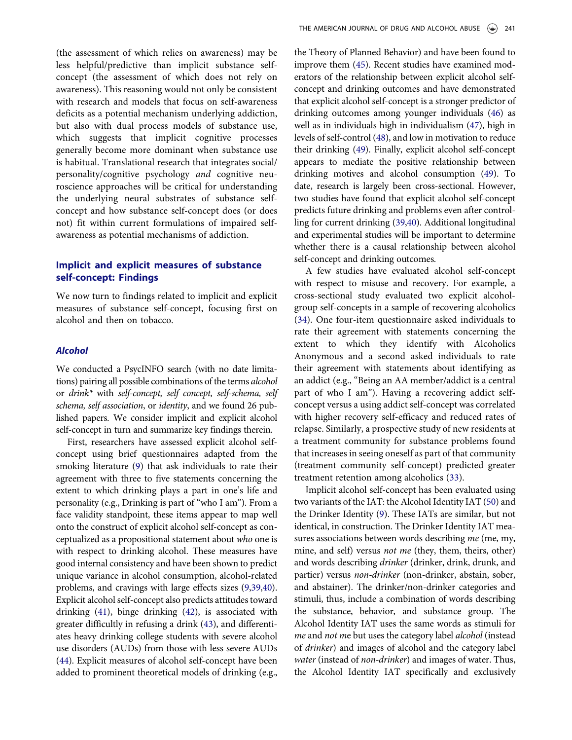(the assessment of which relies on awareness) may be less helpful/predictive than implicit substance selfconcept (the assessment of which does not rely on awareness). This reasoning would not only be consistent with research and models that focus on self-awareness deficits as a potential mechanism underlying addiction, but also with dual process models of substance use, which suggests that implicit cognitive processes generally become more dominant when substance use is habitual. Translational research that integrates social/ personality/cognitive psychology and cognitive neuroscience approaches will be critical for understanding the underlying neural substrates of substance selfconcept and how substance self-concept does (or does not) fit within current formulations of impaired selfawareness as potential mechanisms of addiction.

# Implicit and explicit measures of substance self-concept: Findings

We now turn to findings related to implicit and explicit measures of substance self-concept, focusing first on alcohol and then on tobacco.

#### Alcohol

We conducted a PsycINFO search (with no date limitations) pairing all possible combinations of the terms alcohol or drink\* with self-concept, self concept, self-schema, self schema, self association, or identity, and we found 26 published papers. We consider implicit and explicit alcohol self-concept in turn and summarize key findings therein.

First, researchers have assessed explicit alcohol selfconcept using brief questionnaires adapted from the smoking literature [\(9](#page-7-5)) that ask individuals to rate their agreement with three to five statements concerning the extent to which drinking plays a part in one's life and personality (e.g., Drinking is part of "who I am"). From a face validity standpoint, these items appear to map well onto the construct of explicit alcohol self-concept as conceptualized as a propositional statement about who one is with respect to drinking alcohol. These measures have good internal consistency and have been shown to predict unique variance in alcohol consumption, alcohol-related problems, and cravings with large effects sizes ([9,](#page-7-5)[39](#page-8-27)[,40](#page-8-28)). Explicit alcohol self-concept also predicts attitudes toward drinking ([41\)](#page-8-29), binge drinking ([42](#page-8-30)), is associated with greater difficultly in refusing a drink [\(43](#page-8-31)), and differentiates heavy drinking college students with severe alcohol use disorders (AUDs) from those with less severe AUDs ([44](#page-8-32)). Explicit measures of alcohol self-concept have been added to prominent theoretical models of drinking (e.g.,

the Theory of Planned Behavior) and have been found to improve them [\(45\)](#page-8-33). Recent studies have examined moderators of the relationship between explicit alcohol selfconcept and drinking outcomes and have demonstrated that explicit alcohol self-concept is a stronger predictor of drinking outcomes among younger individuals ([46\)](#page-8-34) as well as in individuals high in individualism [\(47\)](#page-9-0), high in levels of self-control ([48\)](#page-9-1), and low in motivation to reduce their drinking [\(49](#page-9-2)). Finally, explicit alcohol self-concept appears to mediate the positive relationship between drinking motives and alcohol consumption [\(49](#page-9-2)). To date, research is largely been cross-sectional. However, two studies have found that explicit alcohol self-concept predicts future drinking and problems even after controlling for current drinking ([39,](#page-8-27)[40\)](#page-8-28). Additional longitudinal and experimental studies will be important to determine whether there is a causal relationship between alcohol self-concept and drinking outcomes.

A few studies have evaluated alcohol self-concept with respect to misuse and recovery. For example, a cross-sectional study evaluated two explicit alcoholgroup self-concepts in a sample of recovering alcoholics ([34\)](#page-8-35). One four-item questionnaire asked individuals to rate their agreement with statements concerning the extent to which they identify with Alcoholics Anonymous and a second asked individuals to rate their agreement with statements about identifying as an addict (e.g., "Being an AA member/addict is a central part of who I am"). Having a recovering addict selfconcept versus a using addict self-concept was correlated with higher recovery self-efficacy and reduced rates of relapse. Similarly, a prospective study of new residents at a treatment community for substance problems found that increases in seeing oneself as part of that community (treatment community self-concept) predicted greater treatment retention among alcoholics [\(33](#page-8-22)).

Implicit alcohol self-concept has been evaluated using two variants of the IAT: the Alcohol Identity IAT ([50\)](#page-9-3) and the Drinker Identity [\(9](#page-7-5)). These IATs are similar, but not identical, in construction. The Drinker Identity IAT measures associations between words describing me (me, my, mine, and self) versus not me (they, them, theirs, other) and words describing drinker (drinker, drink, drunk, and partier) versus non-drinker (non-drinker, abstain, sober, and abstainer). The drinker/non-drinker categories and stimuli, thus, include a combination of words describing the substance, behavior, and substance group. The Alcohol Identity IAT uses the same words as stimuli for me and not me but uses the category label alcohol (instead of drinker) and images of alcohol and the category label water (instead of non-drinker) and images of water. Thus, the Alcohol Identity IAT specifically and exclusively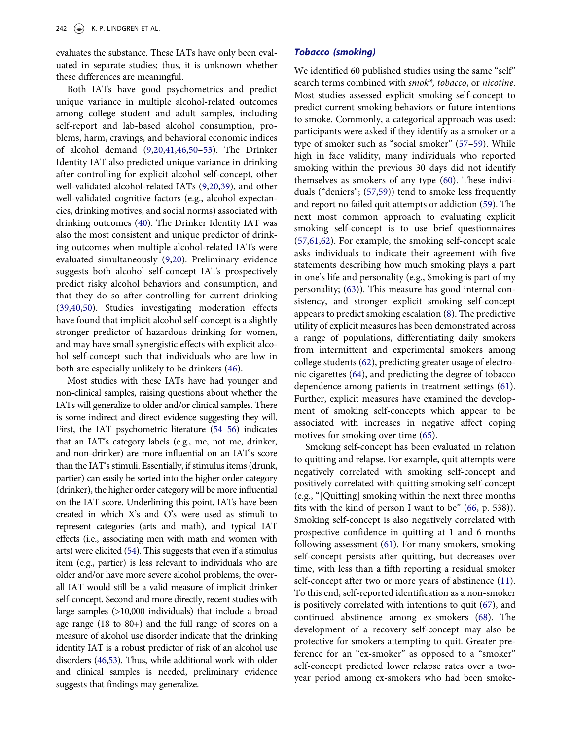evaluates the substance. These IATs have only been evaluated in separate studies; thus, it is unknown whether these differences are meaningful.

Both IATs have good psychometrics and predict unique variance in multiple alcohol-related outcomes among college student and adult samples, including self-report and lab-based alcohol consumption, problems, harm, cravings, and behavioral economic indices of alcohol demand ([9](#page-7-5)[,20,](#page-8-9)[41](#page-8-29)[,46,](#page-8-34)[50](#page-9-3)–[53\)](#page-9-4). The Drinker Identity IAT also predicted unique variance in drinking after controlling for explicit alcohol self-concept, other well-validated alcohol-related IATs [\(9](#page-7-5),[20](#page-8-9)[,39](#page-8-27)), and other well-validated cognitive factors (e.g., alcohol expectancies, drinking motives, and social norms) associated with drinking outcomes ([40\)](#page-8-28). The Drinker Identity IAT was also the most consistent and unique predictor of drinking outcomes when multiple alcohol-related IATs were evaluated simultaneously ([9](#page-7-5)[,20](#page-8-9)). Preliminary evidence suggests both alcohol self-concept IATs prospectively predict risky alcohol behaviors and consumption, and that they do so after controlling for current drinking ([39,](#page-8-27)[40](#page-8-28),[50\)](#page-9-3). Studies investigating moderation effects have found that implicit alcohol self-concept is a slightly stronger predictor of hazardous drinking for women, and may have small synergistic effects with explicit alcohol self-concept such that individuals who are low in both are especially unlikely to be drinkers ([46](#page-8-34)).

Most studies with these IATs have had younger and non-clinical samples, raising questions about whether the IATs will generalize to older and/or clinical samples. There is some indirect and direct evidence suggesting they will. First, the IAT psychometric literature [\(54](#page-9-5)–[56\)](#page-9-6) indicates that an IAT's category labels (e.g., me, not me, drinker, and non-drinker) are more influential on an IAT's score than the IAT's stimuli. Essentially, if stimulus items (drunk, partier) can easily be sorted into the higher order category (drinker), the higher order category will be more influential on the IAT score. Underlining this point, IATs have been created in which X's and O's were used as stimuli to represent categories (arts and math), and typical IAT effects (i.e., associating men with math and women with arts) were elicited [\(54\)](#page-9-5). This suggests that even if a stimulus item (e.g., partier) is less relevant to individuals who are older and/or have more severe alcohol problems, the overall IAT would still be a valid measure of implicit drinker self-concept. Second and more directly, recent studies with large samples (>10,000 individuals) that include a broad age range (18 to 80+) and the full range of scores on a measure of alcohol use disorder indicate that the drinking identity IAT is a robust predictor of risk of an alcohol use disorders [\(46](#page-8-34)[,53\)](#page-9-4). Thus, while additional work with older and clinical samples is needed, preliminary evidence suggests that findings may generalize.

## Tobacco (smoking)

We identified 60 published studies using the same "self" search terms combined with smok\*, tobacco, or nicotine. Most studies assessed explicit smoking self-concept to predict current smoking behaviors or future intentions to smoke. Commonly, a categorical approach was used: participants were asked if they identify as a smoker or a type of smoker such as "social smoker" [\(57](#page-9-7)–[59\)](#page-9-8). While high in face validity, many individuals who reported smoking within the previous 30 days did not identify themselves as smokers of any type ([60\)](#page-9-9). These individuals ("deniers"; ([57,](#page-9-7)[59](#page-9-8))) tend to smoke less frequently and report no failed quit attempts or addiction [\(59](#page-9-8)). The next most common approach to evaluating explicit smoking self-concept is to use brief questionnaires ([57,](#page-9-7)[61](#page-9-10),[62\)](#page-9-11). For example, the smoking self-concept scale asks individuals to indicate their agreement with five statements describing how much smoking plays a part in one's life and personality (e.g., Smoking is part of my personality; [\(63](#page-9-12))). This measure has good internal consistency, and stronger explicit smoking self-concept appears to predict smoking escalation [\(8](#page-7-6)). The predictive utility of explicit measures has been demonstrated across a range of populations, differentiating daily smokers from intermittent and experimental smokers among college students ([62\)](#page-9-11), predicting greater usage of electronic cigarettes [\(64](#page-9-13)), and predicting the degree of tobacco dependence among patients in treatment settings ([61\)](#page-9-10). Further, explicit measures have examined the development of smoking self-concepts which appear to be associated with increases in negative affect coping motives for smoking over time [\(65\)](#page-9-14).

Smoking self-concept has been evaluated in relation to quitting and relapse. For example, quit attempts were negatively correlated with smoking self-concept and positively correlated with quitting smoking self-concept (e.g., "[Quitting] smoking within the next three months fits with the kind of person I want to be" [\(66](#page-9-15), p. 538)). Smoking self-concept is also negatively correlated with prospective confidence in quitting at 1 and 6 months following assessment [\(61](#page-9-10)). For many smokers, smoking self-concept persists after quitting, but decreases over time, with less than a fifth reporting a residual smoker self-concept after two or more years of abstinence ([11\)](#page-8-0). To this end, self-reported identification as a non-smoker is positively correlated with intentions to quit ([67](#page-9-16)), and continued abstinence among ex-smokers [\(68](#page-9-17)). The development of a recovery self-concept may also be protective for smokers attempting to quit. Greater preference for an "ex-smoker" as opposed to a "smoker" self-concept predicted lower relapse rates over a twoyear period among ex-smokers who had been smoke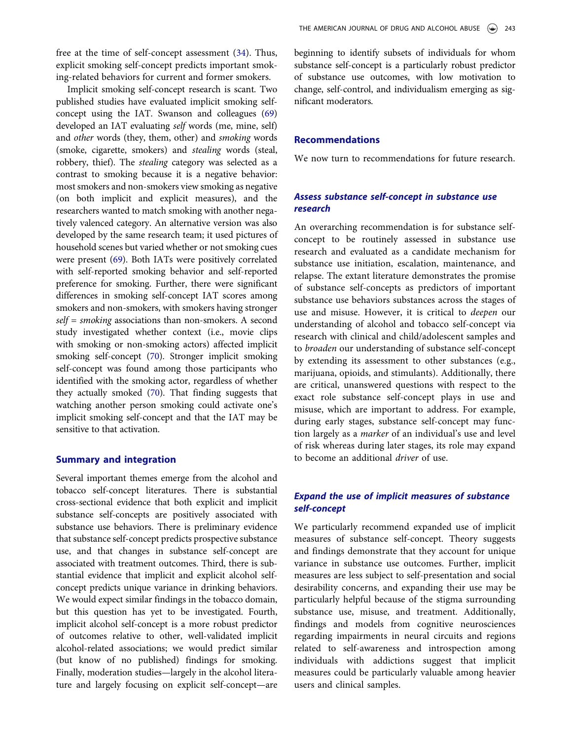free at the time of self-concept assessment [\(34](#page-8-35)). Thus, explicit smoking self-concept predicts important smoking-related behaviors for current and former smokers.

Implicit smoking self-concept research is scant. Two published studies have evaluated implicit smoking selfconcept using the IAT. Swanson and colleagues [\(69](#page-9-18)) developed an IAT evaluating self words (me, mine, self) and other words (they, them, other) and smoking words (smoke, cigarette, smokers) and stealing words (steal, robbery, thief). The stealing category was selected as a contrast to smoking because it is a negative behavior: most smokers and non-smokers view smoking as negative (on both implicit and explicit measures), and the researchers wanted to match smoking with another negatively valenced category. An alternative version was also developed by the same research team; it used pictures of household scenes but varied whether or not smoking cues were present [\(69](#page-9-18)). Both IATs were positively correlated with self-reported smoking behavior and self-reported preference for smoking. Further, there were significant differences in smoking self-concept IAT scores among smokers and non-smokers, with smokers having stronger  $self = smoking$  associations than non-smokers. A second study investigated whether context (i.e., movie clips with smoking or non-smoking actors) affected implicit smoking self-concept [\(70](#page-9-19)). Stronger implicit smoking self-concept was found among those participants who identified with the smoking actor, regardless of whether they actually smoked [\(70\)](#page-9-19). That finding suggests that watching another person smoking could activate one's implicit smoking self-concept and that the IAT may be sensitive to that activation.

### Summary and integration

Several important themes emerge from the alcohol and tobacco self-concept literatures. There is substantial cross-sectional evidence that both explicit and implicit substance self-concepts are positively associated with substance use behaviors. There is preliminary evidence that substance self-concept predicts prospective substance use, and that changes in substance self-concept are associated with treatment outcomes. Third, there is substantial evidence that implicit and explicit alcohol selfconcept predicts unique variance in drinking behaviors. We would expect similar findings in the tobacco domain, but this question has yet to be investigated. Fourth, implicit alcohol self-concept is a more robust predictor of outcomes relative to other, well-validated implicit alcohol-related associations; we would predict similar (but know of no published) findings for smoking. Finally, moderation studies—largely in the alcohol literature and largely focusing on explicit self-concept—are

beginning to identify subsets of individuals for whom substance self-concept is a particularly robust predictor of substance use outcomes, with low motivation to change, self-control, and individualism emerging as significant moderators.

### Recommendations

We now turn to recommendations for future research.

# Assess substance self-concept in substance use research

An overarching recommendation is for substance selfconcept to be routinely assessed in substance use research and evaluated as a candidate mechanism for substance use initiation, escalation, maintenance, and relapse. The extant literature demonstrates the promise of substance self-concepts as predictors of important substance use behaviors substances across the stages of use and misuse. However, it is critical to deepen our understanding of alcohol and tobacco self-concept via research with clinical and child/adolescent samples and to broaden our understanding of substance self-concept by extending its assessment to other substances (e.g., marijuana, opioids, and stimulants). Additionally, there are critical, unanswered questions with respect to the exact role substance self-concept plays in use and misuse, which are important to address. For example, during early stages, substance self-concept may function largely as a marker of an individual's use and level of risk whereas during later stages, its role may expand to become an additional driver of use.

# Expand the use of implicit measures of substance self-concept

We particularly recommend expanded use of implicit measures of substance self-concept. Theory suggests and findings demonstrate that they account for unique variance in substance use outcomes. Further, implicit measures are less subject to self-presentation and social desirability concerns, and expanding their use may be particularly helpful because of the stigma surrounding substance use, misuse, and treatment. Additionally, findings and models from cognitive neurosciences regarding impairments in neural circuits and regions related to self-awareness and introspection among individuals with addictions suggest that implicit measures could be particularly valuable among heavier users and clinical samples.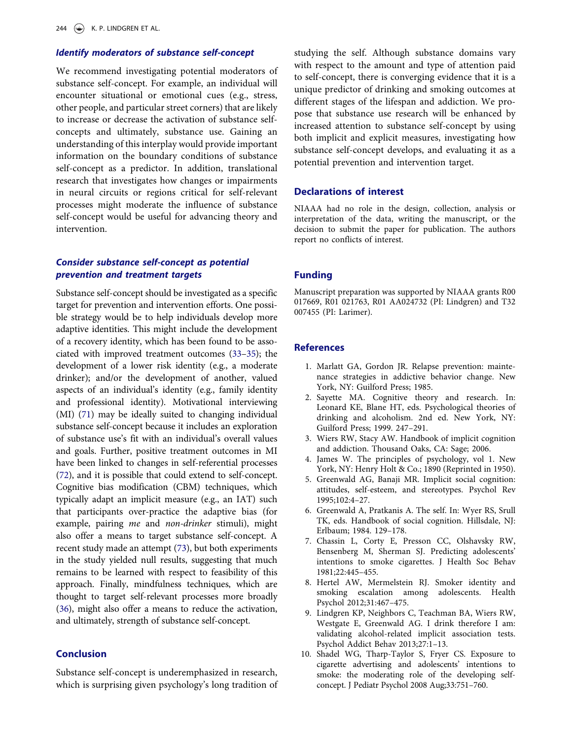# Identify moderators of substance self-concept

We recommend investigating potential moderators of substance self-concept. For example, an individual will encounter situational or emotional cues (e.g., stress, other people, and particular street corners) that are likely to increase or decrease the activation of substance selfconcepts and ultimately, substance use. Gaining an understanding of this interplay would provide important information on the boundary conditions of substance self-concept as a predictor. In addition, translational research that investigates how changes or impairments in neural circuits or regions critical for self-relevant processes might moderate the influence of substance self-concept would be useful for advancing theory and intervention.

# Consider substance self-concept as potential prevention and treatment targets

Substance self-concept should be investigated as a specific target for prevention and intervention efforts. One possible strategy would be to help individuals develop more adaptive identities. This might include the development of a recovery identity, which has been found to be associated with improved treatment outcomes ([33](#page-8-22)–[35\)](#page-8-23); the development of a lower risk identity (e.g., a moderate drinker); and/or the development of another, valued aspects of an individual's identity (e.g., family identity and professional identity). Motivational interviewing (MI) [\(71](#page-9-20)) may be ideally suited to changing individual substance self-concept because it includes an exploration of substance use's fit with an individual's overall values and goals. Further, positive treatment outcomes in MI have been linked to changes in self-referential processes ([72](#page-9-21)), and it is possible that could extend to self-concept. Cognitive bias modification (CBM) techniques, which typically adapt an implicit measure (e.g., an IAT) such that participants over-practice the adaptive bias (for example, pairing me and non-drinker stimuli), might also offer a means to target substance self-concept. A recent study made an attempt ([73\)](#page-9-22), but both experiments in the study yielded null results, suggesting that much remains to be learned with respect to feasibility of this approach. Finally, mindfulness techniques, which are thought to target self-relevant processes more broadly ([36](#page-8-24)), might also offer a means to reduce the activation, and ultimately, strength of substance self-concept.

## Conclusion

Substance self-concept is underemphasized in research, which is surprising given psychology's long tradition of studying the self. Although substance domains vary with respect to the amount and type of attention paid to self-concept, there is converging evidence that it is a unique predictor of drinking and smoking outcomes at different stages of the lifespan and addiction. We propose that substance use research will be enhanced by increased attention to substance self-concept by using both implicit and explicit measures, investigating how substance self-concept develops, and evaluating it as a potential prevention and intervention target.

## Declarations of interest

NIAAA had no role in the design, collection, analysis or interpretation of the data, writing the manuscript, or the decision to submit the paper for publication. The authors report no conflicts of interest.

#### Funding

Manuscript preparation was supported by NIAAA grants R00 017669, R01 021763, R01 AA024732 (PI: Lindgren) and T32 007455 (PI: Larimer).

#### References

- <span id="page-7-0"></span>1. Marlatt GA, Gordon JR. Relapse prevention: maintenance strategies in addictive behavior change. New York, NY: Guilford Press; 1985.
- 2. Sayette MA. Cognitive theory and research. In: Leonard KE, Blane HT, eds. Psychological theories of drinking and alcoholism. 2nd ed. New York, NY: Guilford Press; 1999. 247–291.
- <span id="page-7-1"></span>3. Wiers RW, Stacy AW. Handbook of implicit cognition and addiction. Thousand Oaks, CA: Sage; 2006.
- <span id="page-7-2"></span>4. James W. The principles of psychology, vol 1. New York, NY: Henry Holt & Co.; 1890 (Reprinted in 1950).
- 5. Greenwald AG, Banaji MR. Implicit social cognition: attitudes, self-esteem, and stereotypes. Psychol Rev 1995;102:4–27.
- <span id="page-7-3"></span>6. Greenwald A, Pratkanis A. The self. In: Wyer RS, Srull TK, eds. Handbook of social cognition. Hillsdale, NJ: Erlbaum; 1984. 129–178.
- <span id="page-7-4"></span>7. Chassin L, Corty E, Presson CC, Olshavsky RW, Bensenberg M, Sherman SJ. Predicting adolescents' intentions to smoke cigarettes. J Health Soc Behav 1981;22:445–455.
- <span id="page-7-6"></span>8. Hertel AW, Mermelstein RJ. Smoker identity and smoking escalation among adolescents. Health Psychol 2012;31:467–475.
- <span id="page-7-5"></span>9. Lindgren KP, Neighbors C, Teachman BA, Wiers RW, Westgate E, Greenwald AG. I drink therefore I am: validating alcohol-related implicit association tests. Psychol Addict Behav 2013;27:1–13.
- 10. Shadel WG, Tharp-Taylor S, Fryer CS. Exposure to cigarette advertising and adolescents' intentions to smoke: the moderating role of the developing selfconcept. J Pediatr Psychol 2008 Aug;33:751–760.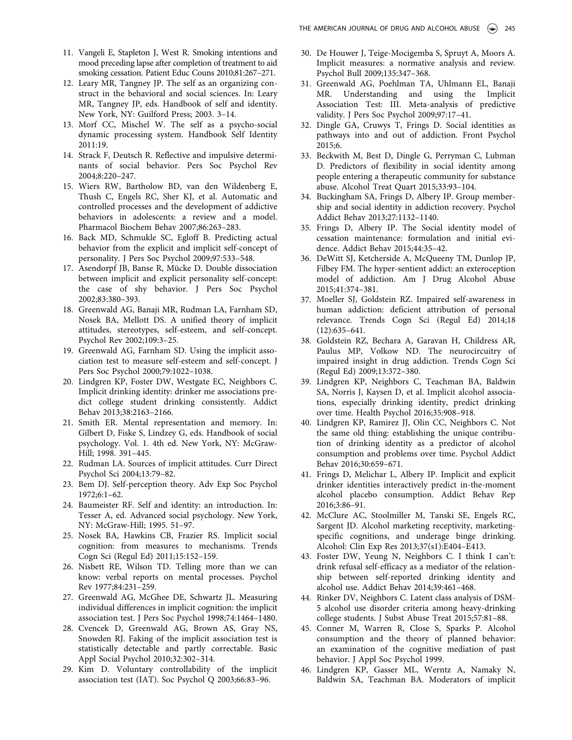- <span id="page-8-0"></span>11. Vangeli E, Stapleton J, West R. Smoking intentions and mood preceding lapse after completion of treatment to aid smoking cessation. Patient Educ Couns 2010;81:267–271.
- <span id="page-8-1"></span>12. Leary MR, Tangney JP. The self as an organizing construct in the behavioral and social sciences. In: Leary MR, Tangney JP, eds. Handbook of self and identity. New York, NY: Guilford Press; 2003. 3–14.
- <span id="page-8-2"></span>13. Morf CC, Mischel W. The self as a psycho-social dynamic processing system. Handbook Self Identity 2011:19.
- <span id="page-8-3"></span>14. Strack F, Deutsch R. Reflective and impulsive determinants of social behavior. Pers Soc Psychol Rev 2004;8:220–247.
- <span id="page-8-4"></span>15. Wiers RW, Bartholow BD, van den Wildenberg E, Thush C, Engels RC, Sher KJ, et al. Automatic and controlled processes and the development of addictive behaviors in adolescents: a review and a model. Pharmacol Biochem Behav 2007;86:263–283.
- <span id="page-8-5"></span>16. Back MD, Schmukle SC, Egloff B. Predicting actual behavior from the explicit and implicit self-concept of personality. J Pers Soc Psychol 2009;97:533–548.
- <span id="page-8-6"></span>17. Asendorpf JB, Banse R, Mücke D. Double dissociation between implicit and explicit personality self-concept: the case of shy behavior. J Pers Soc Psychol 2002;83:380–393.
- <span id="page-8-7"></span>18. Greenwald AG, Banaji MR, Rudman LA, Farnham SD, Nosek BA, Mellott DS. A unified theory of implicit attitudes, stereotypes, self-esteem, and self-concept. Psychol Rev 2002;109:3–25.
- <span id="page-8-8"></span>19. Greenwald AG, Farnham SD. Using the implicit association test to measure self-esteem and self-concept. J Pers Soc Psychol 2000;79:1022–1038.
- <span id="page-8-9"></span>20. Lindgren KP, Foster DW, Westgate EC, Neighbors C. Implicit drinking identity: drinker me associations predict college student drinking consistently. Addict Behav 2013;38:2163–2166.
- <span id="page-8-10"></span>21. Smith ER. Mental representation and memory. In: Gilbert D, Fiske S, Lindzey G, eds. Handbook of social psychology. Vol. 1. 4th ed. New York, NY: McGraw-Hill; 1998. 391–445.
- <span id="page-8-11"></span>22. Rudman LA. Sources of implicit attitudes. Curr Direct Psychol Sci 2004;13:79–82.
- <span id="page-8-12"></span>23. Bem DJ. Self-perception theory. Adv Exp Soc Psychol 1972;6:1–62.
- <span id="page-8-13"></span>24. Baumeister RF. Self and identity: an introduction. In: Tesser A, ed. Advanced social psychology. New York, NY: McGraw-Hill; 1995. 51–97.
- <span id="page-8-14"></span>25. Nosek BA, Hawkins CB, Frazier RS. Implicit social cognition: from measures to mechanisms. Trends Cogn Sci (Regul Ed) 2011;15:152–159.
- <span id="page-8-15"></span>26. Nisbett RE, Wilson TD. Telling more than we can know: verbal reports on mental processes. Psychol Rev 1977;84:231–259.
- <span id="page-8-16"></span>27. Greenwald AG, McGhee DE, Schwartz JL. Measuring individual differences in implicit cognition: the implicit association test. J Pers Soc Psychol 1998;74:1464–1480.
- <span id="page-8-17"></span>28. Cvencek D, Greenwald AG, Brown AS, Gray NS, Snowden RJ. Faking of the implicit association test is statistically detectable and partly correctable. Basic Appl Social Psychol 2010;32:302–314.
- <span id="page-8-18"></span>29. Kim D. Voluntary controllability of the implicit association test (IAT). Soc Psychol Q 2003;66:83–96.
- <span id="page-8-19"></span>30. De Houwer J, Teige-Mocigemba S, Spruyt A, Moors A. Implicit measures: a normative analysis and review. Psychol Bull 2009;135:347–368.
- <span id="page-8-20"></span>31. Greenwald AG, Poehlman TA, Uhlmann EL, Banaji MR. Understanding and using the Implicit Association Test: III. Meta-analysis of predictive validity. J Pers Soc Psychol 2009;97:17–41.
- <span id="page-8-21"></span>32. Dingle GA, Cruwys T, Frings D. Social identities as pathways into and out of addiction. Front Psychol 2015;6.
- <span id="page-8-22"></span>33. Beckwith M, Best D, Dingle G, Perryman C, Lubman D. Predictors of flexibility in social identity among people entering a therapeutic community for substance abuse. Alcohol Treat Quart 2015;33:93–104.
- <span id="page-8-35"></span>34. Buckingham SA, Frings D, Albery IP. Group membership and social identity in addiction recovery. Psychol Addict Behav 2013;27:1132–1140.
- <span id="page-8-23"></span>35. Frings D, Albery IP. The Social identity model of cessation maintenance: formulation and initial evidence. Addict Behav 2015;44:35–42.
- <span id="page-8-24"></span>36. DeWitt SJ, Ketcherside A, McQueeny TM, Dunlop JP, Filbey FM. The hyper-sentient addict: an exteroception model of addiction. Am J Drug Alcohol Abuse 2015;41:374–381.
- <span id="page-8-26"></span>37. Moeller SJ, Goldstein RZ. Impaired self-awareness in human addiction: deficient attribution of personal relevance. Trends Cogn Sci (Regul Ed) 2014;18 (12):635–641.
- <span id="page-8-25"></span>38. Goldstein RZ, Bechara A, Garavan H, Childress AR, Paulus MP, Volkow ND. The neurocircuitry of impaired insight in drug addiction. Trends Cogn Sci (Regul Ed) 2009;13:372–380.
- <span id="page-8-27"></span>39. Lindgren KP, Neighbors C, Teachman BA, Baldwin SA, Norris J, Kaysen D, et al. Implicit alcohol associations, especially drinking identity, predict drinking over time. Health Psychol 2016;35:908–918.
- <span id="page-8-28"></span>40. Lindgren KP, Ramirez JJ, Olin CC, Neighbors C. Not the same old thing: establishing the unique contribution of drinking identity as a predictor of alcohol consumption and problems over time. Psychol Addict Behav 2016;30:659–671.
- <span id="page-8-29"></span>41. Frings D, Melichar L, Albery IP. Implicit and explicit drinker identities interactively predict in-the-moment alcohol placebo consumption. Addict Behav Rep 2016;3:86–91.
- <span id="page-8-30"></span>42. McClure AC, Stoolmiller M, Tanski SE, Engels RC, Sargent JD. Alcohol marketing receptivity, marketingspecific cognitions, and underage binge drinking. Alcohol: Clin Exp Res 2013;37(s1):E404–E413.
- <span id="page-8-31"></span>43. Foster DW, Yeung N, Neighbors C. I think I can't: drink refusal self-efficacy as a mediator of the relationship between self-reported drinking identity and alcohol use. Addict Behav 2014;39:461–468.
- <span id="page-8-32"></span>44. Rinker DV, Neighbors C. Latent class analysis of DSM-5 alcohol use disorder criteria among heavy-drinking college students. J Subst Abuse Treat 2015;57:81–88.
- <span id="page-8-33"></span>45. Conner M, Warren R, Close S, Sparks P. Alcohol consumption and the theory of planned behavior: an examination of the cognitive mediation of past behavior. J Appl Soc Psychol 1999.
- <span id="page-8-34"></span>46. Lindgren KP, Gasser ML, Werntz A, Namaky N, Baldwin SA, Teachman BA. Moderators of implicit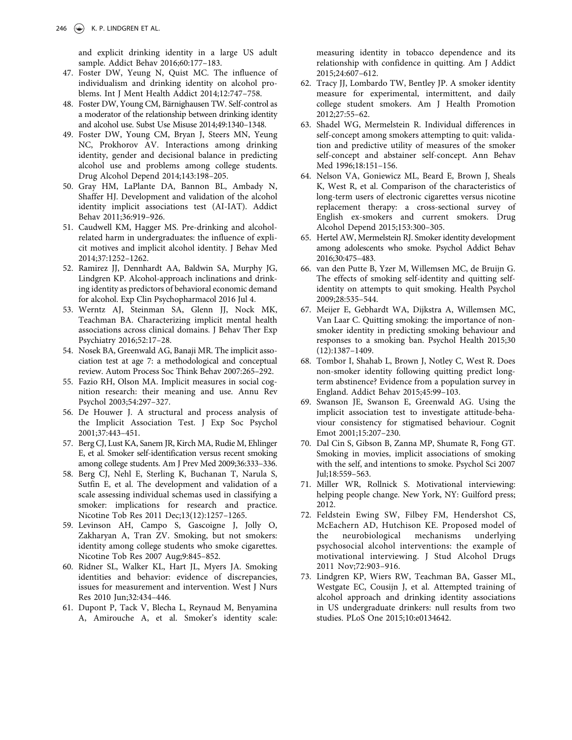and explicit drinking identity in a large US adult sample. Addict Behav 2016;60:177–183.

- <span id="page-9-0"></span>47. Foster DW, Yeung N, Quist MC. The influence of individualism and drinking identity on alcohol problems. Int J Ment Health Addict 2014;12:747–758.
- <span id="page-9-1"></span>48. Foster DW, Young CM, Bärnighausen TW. Self-control as a moderator of the relationship between drinking identity and alcohol use. Subst Use Misuse 2014;49:1340–1348.
- <span id="page-9-2"></span>49. Foster DW, Young CM, Bryan J, Steers MN, Yeung NC, Prokhorov AV. Interactions among drinking identity, gender and decisional balance in predicting alcohol use and problems among college students. Drug Alcohol Depend 2014;143:198–205.
- <span id="page-9-3"></span>50. Gray HM, LaPlante DA, Bannon BL, Ambady N, Shaffer HJ. Development and validation of the alcohol identity implicit associations test (AI-IAT). Addict Behav 2011;36:919–926.
- 51. Caudwell KM, Hagger MS. Pre-drinking and alcoholrelated harm in undergraduates: the influence of explicit motives and implicit alcohol identity. J Behav Med 2014;37:1252–1262.
- 52. Ramirez JJ, Dennhardt AA, Baldwin SA, Murphy JG, Lindgren KP. Alcohol-approach inclinations and drinking identity as predictors of behavioral economic demand for alcohol. Exp Clin Psychopharmacol 2016 Jul 4.
- <span id="page-9-4"></span>53. Werntz AJ, Steinman SA, Glenn JJ, Nock MK, Teachman BA. Characterizing implicit mental health associations across clinical domains. J Behav Ther Exp Psychiatry 2016;52:17–28.
- <span id="page-9-5"></span>54. Nosek BA, Greenwald AG, Banaji MR. The implicit association test at age 7: a methodological and conceptual review. Autom Process Soc Think Behav 2007:265–292.
- 55. Fazio RH, Olson MA. Implicit measures in social cognition research: their meaning and use. Annu Rev Psychol 2003;54:297–327.
- <span id="page-9-6"></span>56. De Houwer J. A structural and process analysis of the Implicit Association Test. J Exp Soc Psychol 2001;37:443–451.
- <span id="page-9-7"></span>57. Berg CJ, Lust KA, Sanem JR, Kirch MA, Rudie M, Ehlinger E, et al. Smoker self-identification versus recent smoking among college students. Am J Prev Med 2009;36:333–336.
- 58. Berg CJ, Nehl E, Sterling K, Buchanan T, Narula S, Sutfin E, et al. The development and validation of a scale assessing individual schemas used in classifying a smoker: implications for research and practice. Nicotine Tob Res 2011 Dec;13(12):1257–1265.
- <span id="page-9-8"></span>59. Levinson AH, Campo S, Gascoigne J, Jolly O, Zakharyan A, Tran ZV. Smoking, but not smokers: identity among college students who smoke cigarettes. Nicotine Tob Res 2007 Aug;9:845–852.
- <span id="page-9-9"></span>60. Ridner SL, Walker KL, Hart JL, Myers JA. Smoking identities and behavior: evidence of discrepancies, issues for measurement and intervention. West J Nurs Res 2010 Jun;32:434–446.
- <span id="page-9-10"></span>61. Dupont P, Tack V, Blecha L, Reynaud M, Benyamina A, Amirouche A, et al. Smoker's identity scale:

measuring identity in tobacco dependence and its relationship with confidence in quitting. Am J Addict 2015;24:607–612.

- <span id="page-9-11"></span>62. Tracy JJ, Lombardo TW, Bentley JP. A smoker identity measure for experimental, intermittent, and daily college student smokers. Am J Health Promotion 2012;27:55–62.
- <span id="page-9-12"></span>63. Shadel WG, Mermelstein R. Individual differences in self-concept among smokers attempting to quit: validation and predictive utility of measures of the smoker self-concept and abstainer self-concept. Ann Behav Med 1996;18:151–156.
- <span id="page-9-13"></span>64. Nelson VA, Goniewicz ML, Beard E, Brown J, Sheals K, West R, et al. Comparison of the characteristics of long-term users of electronic cigarettes versus nicotine replacement therapy: a cross-sectional survey of English ex-smokers and current smokers. Drug Alcohol Depend 2015;153:300–305.
- <span id="page-9-14"></span>65. Hertel AW, Mermelstein RJ. Smoker identity development among adolescents who smoke. Psychol Addict Behav 2016;30:475–483.
- <span id="page-9-15"></span>66. van den Putte B, Yzer M, Willemsen MC, de Bruijn G. The effects of smoking self-identity and quitting selfidentity on attempts to quit smoking. Health Psychol 2009;28:535–544.
- <span id="page-9-16"></span>67. Meijer E, Gebhardt WA, Dijkstra A, Willemsen MC, Van Laar C. Quitting smoking: the importance of nonsmoker identity in predicting smoking behaviour and responses to a smoking ban. Psychol Health 2015;30 (12):1387–1409.
- <span id="page-9-17"></span>68. Tombor I, Shahab L, Brown J, Notley C, West R. Does non-smoker identity following quitting predict longterm abstinence? Evidence from a population survey in England. Addict Behav 2015;45:99–103.
- <span id="page-9-18"></span>69. Swanson JE, Swanson E, Greenwald AG. Using the implicit association test to investigate attitude-behaviour consistency for stigmatised behaviour. Cognit Emot 2001;15:207–230.
- <span id="page-9-19"></span>70. Dal Cin S, Gibson B, Zanna MP, Shumate R, Fong GT. Smoking in movies, implicit associations of smoking with the self, and intentions to smoke. Psychol Sci 2007 Jul;18:559–563.
- <span id="page-9-20"></span>71. Miller WR, Rollnick S. Motivational interviewing: helping people change. New York, NY: Guilford press; 2012.
- <span id="page-9-21"></span>72. Feldstein Ewing SW, Filbey FM, Hendershot CS, McEachern AD, Hutchison KE. Proposed model of the neurobiological mechanisms underlying psychosocial alcohol interventions: the example of motivational interviewing. J Stud Alcohol Drugs 2011 Nov;72:903–916.
- <span id="page-9-22"></span>73. Lindgren KP, Wiers RW, Teachman BA, Gasser ML, Westgate EC, Cousijn J, et al. Attempted training of alcohol approach and drinking identity associations in US undergraduate drinkers: null results from two studies. PLoS One 2015;10:e0134642.